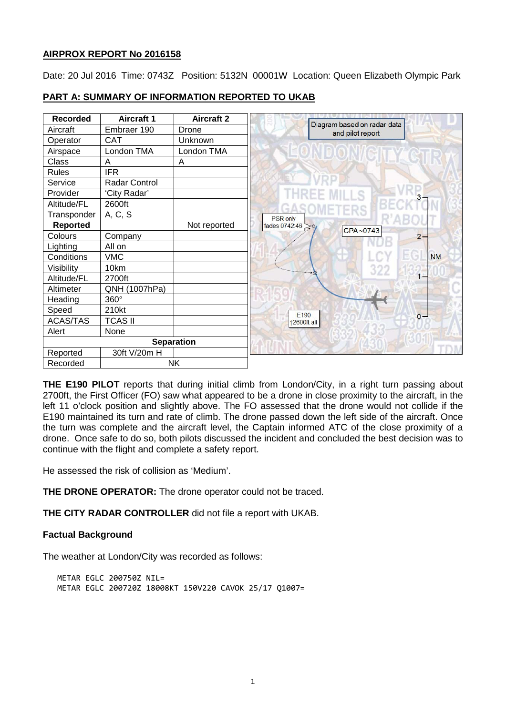## **AIRPROX REPORT No 2016158**

Date: 20 Jul 2016 Time: 0743Z Position: 5132N 00001W Location: Queen Elizabeth Olympic Park

| <b>Recorded</b>       | <b>Aircraft 1</b> | <b>Aircraft 2</b> |                                                 |           |
|-----------------------|-------------------|-------------------|-------------------------------------------------|-----------|
| Aircraft              | Embraer 190       | Drone             | Diagram based on radar data<br>and pilot report |           |
| Operator              | <b>CAT</b>        | Unknown           |                                                 |           |
| Airspace              | London TMA        | London TMA        |                                                 |           |
| Class                 | A                 | A                 |                                                 |           |
| Rules                 | <b>IFR</b>        |                   |                                                 |           |
| Service               | Radar Control     |                   |                                                 |           |
| Provider              | 'City Radar'      |                   | EE MILLS                                        |           |
| Altitude/FL           | 2600ft            |                   |                                                 |           |
| Transponder           | A, C, S           |                   | <b>PSR</b> only                                 |           |
| <b>Reported</b>       |                   | Not reported      | fades 0742:46<br>CPA~0743                       |           |
| Colours               | Company           |                   |                                                 | $2 -$     |
| Lighting              | All on            |                   |                                                 |           |
| Conditions            | <b>VMC</b>        |                   |                                                 | <b>NM</b> |
| Visibility            | 10km              |                   | 322                                             |           |
| Altitude/FL           | 2700ft            |                   |                                                 |           |
| Altimeter             | QNH (1007hPa)     |                   |                                                 |           |
| Heading               | 360°              |                   |                                                 |           |
| Speed                 | 210kt             |                   | E <sub>190</sub>                                |           |
| <b>ACAS/TAS</b>       | <b>TCAS II</b>    |                   | 12600ft alt                                     | $0 -$     |
| Alert                 | None              |                   |                                                 |           |
| <b>Separation</b>     |                   |                   |                                                 |           |
| Reported              | 30ft V/20m H      |                   |                                                 |           |
| <b>NK</b><br>Recorded |                   |                   |                                                 |           |

# **PART A: SUMMARY OF INFORMATION REPORTED TO UKAB**

**THE E190 PILOT** reports that during initial climb from London/City, in a right turn passing about 2700ft, the First Officer (FO) saw what appeared to be a drone in close proximity to the aircraft, in the left 11 o'clock position and slightly above. The FO assessed that the drone would not collide if the E190 maintained its turn and rate of climb. The drone passed down the left side of the aircraft. Once the turn was complete and the aircraft level, the Captain informed ATC of the close proximity of a drone. Once safe to do so, both pilots discussed the incident and concluded the best decision was to continue with the flight and complete a safety report.

He assessed the risk of collision as 'Medium'.

**THE DRONE OPERATOR:** The drone operator could not be traced.

**THE CITY RADAR CONTROLLER** did not file a report with UKAB.

## **Factual Background**

The weather at London/City was recorded as follows:

METAR EGLC 200750Z NIL= METAR EGLC 200720Z 18008KT 150V220 CAVOK 25/17 Q1007=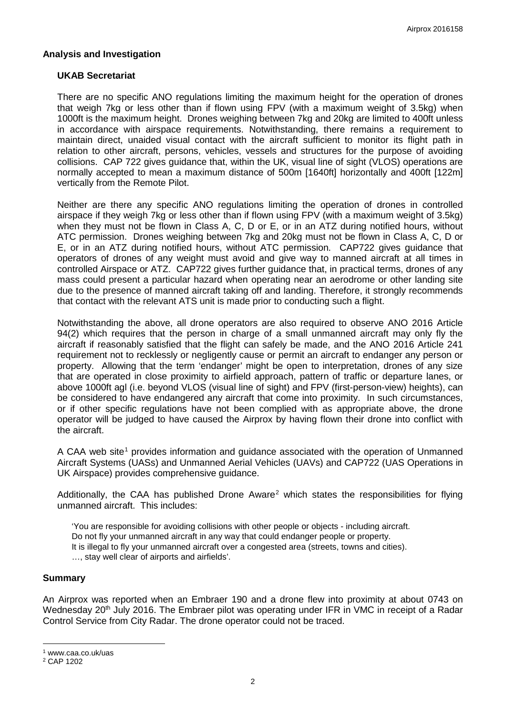### **Analysis and Investigation**

### **UKAB Secretariat**

There are no specific ANO regulations limiting the maximum height for the operation of drones that weigh 7kg or less other than if flown using FPV (with a maximum weight of 3.5kg) when 1000ft is the maximum height. Drones weighing between 7kg and 20kg are limited to 400ft unless in accordance with airspace requirements. Notwithstanding, there remains a requirement to maintain direct, unaided visual contact with the aircraft sufficient to monitor its flight path in relation to other aircraft, persons, vehicles, vessels and structures for the purpose of avoiding collisions. CAP 722 gives guidance that, within the UK, visual line of sight (VLOS) operations are normally accepted to mean a maximum distance of 500m [1640ft] horizontally and 400ft [122m] vertically from the Remote Pilot.

Neither are there any specific ANO regulations limiting the operation of drones in controlled airspace if they weigh 7kg or less other than if flown using FPV (with a maximum weight of 3.5kg) when they must not be flown in Class A, C, D or E, or in an ATZ during notified hours, without ATC permission. Drones weighing between 7kg and 20kg must not be flown in Class A, C, D or E, or in an ATZ during notified hours, without ATC permission. CAP722 gives guidance that operators of drones of any weight must avoid and give way to manned aircraft at all times in controlled Airspace or ATZ. CAP722 gives further guidance that, in practical terms, drones of any mass could present a particular hazard when operating near an aerodrome or other landing site due to the presence of manned aircraft taking off and landing. Therefore, it strongly recommends that contact with the relevant ATS unit is made prior to conducting such a flight.

Notwithstanding the above, all drone operators are also required to observe ANO 2016 Article 94(2) which requires that the person in charge of a small unmanned aircraft may only fly the aircraft if reasonably satisfied that the flight can safely be made, and the ANO 2016 Article 241 requirement not to recklessly or negligently cause or permit an aircraft to endanger any person or property. Allowing that the term 'endanger' might be open to interpretation, drones of any size that are operated in close proximity to airfield approach, pattern of traffic or departure lanes, or above 1000ft agl (i.e. beyond VLOS (visual line of sight) and FPV (first-person-view) heights), can be considered to have endangered any aircraft that come into proximity. In such circumstances, or if other specific regulations have not been complied with as appropriate above, the drone operator will be judged to have caused the Airprox by having flown their drone into conflict with the aircraft.

A CAA web site<sup>[1](#page-1-0)</sup> provides information and guidance associated with the operation of Unmanned Aircraft Systems (UASs) and Unmanned Aerial Vehicles (UAVs) and CAP722 (UAS Operations in UK Airspace) provides comprehensive guidance.

Additionally, the CAA has published Drone Aware<sup>[2](#page-1-1)</sup> which states the responsibilities for flying unmanned aircraft. This includes:

'You are responsible for avoiding collisions with other people or objects - including aircraft. Do not fly your unmanned aircraft in any way that could endanger people or property. It is illegal to fly your unmanned aircraft over a congested area (streets, towns and cities). …, stay well clear of airports and airfields'.

#### **Summary**

An Airprox was reported when an Embraer 190 and a drone flew into proximity at about 0743 on Wednesday 20<sup>th</sup> July 2016. The Embraer pilot was operating under IFR in VMC in receipt of a Radar Control Service from City Radar. The drone operator could not be traced.

l

<span id="page-1-0"></span><sup>1</sup> www.caa.co.uk/uas

<span id="page-1-1"></span><sup>2</sup> CAP 1202